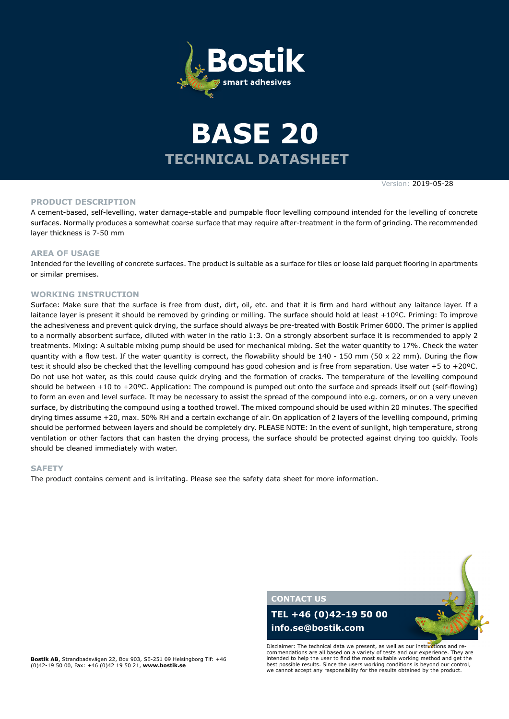

# **TECHNICAL DATASHEET BASE 20**

Version: 2019-05-28

#### **PRODUCT DESCRIPTION**

A cement-based, self-levelling, water damage-stable and pumpable floor levelling compound intended for the levelling of concrete surfaces. Normally produces a somewhat coarse surface that may require after-treatment in the form of grinding. The recommended layer thickness is 7-50 mm

#### **AREA OF USAGE**

Intended for the levelling of concrete surfaces. The product is suitable as a surface for tiles or loose laid parquet flooring in apartments or similar premises.

#### **WORKING INSTRUCTION**

Surface: Make sure that the surface is free from dust, dirt, oil, etc. and that it is firm and hard without any laitance layer. If a laitance layer is present it should be removed by grinding or milling. The surface should hold at least +10°C. Priming: To improve the adhesiveness and prevent quick drying, the surface should always be pre-treated with Bostik Primer 6000. The primer is applied to a normally absorbent surface, diluted with water in the ratio 1:3. On a strongly absorbent surface it is recommended to apply 2 treatments. Mixing: A suitable mixing pump should be used for mechanical mixing. Set the water quantity to 17%. Check the water quantity with a flow test. If the water quantity is correct, the flowability should be  $140 - 150$  mm (50 x 22 mm). During the flow test it should also be checked that the levelling compound has good cohesion and is free from separation. Use water +5 to +20ºC. Do not use hot water, as this could cause quick drying and the formation of cracks. The temperature of the levelling compound should be between +10 to +20ºC. Application: The compound is pumped out onto the surface and spreads itself out (self-flowing) to form an even and level surface. It may be necessary to assist the spread of the compound into e.g. corners, or on a very uneven surface, by distributing the compound using a toothed trowel. The mixed compound should be used within 20 minutes. The specified drying times assume +20, max. 50% RH and a certain exchange of air. On application of 2 layers of the levelling compound, priming should be performed between layers and should be completely dry. PLEASE NOTE: In the event of sunlight, high temperature, strong ventilation or other factors that can hasten the drying process, the surface should be protected against drying too quickly. Tools should be cleaned immediately with water.

#### **SAFETY**

The product contains cement and is irritating. Please see the safety data sheet for more information.



**Bostik AB**, Strandbadsvägen 22, Box 903, SE-251 09 Helsingborg Tlf: +46 (0)42-19 50 00, Fax: +46 (0)42 19 50 21, **www.bostik.se**

Disclaimer: The technical data we present, as well as our instructions and recommendations are all based on a variety of tests and our experience. They are intended to help the user to find the most suitable working method and get the best possible results. Since the users working conditions is beyond our control, we cannot accept any responsibility for the results obtained by the product.